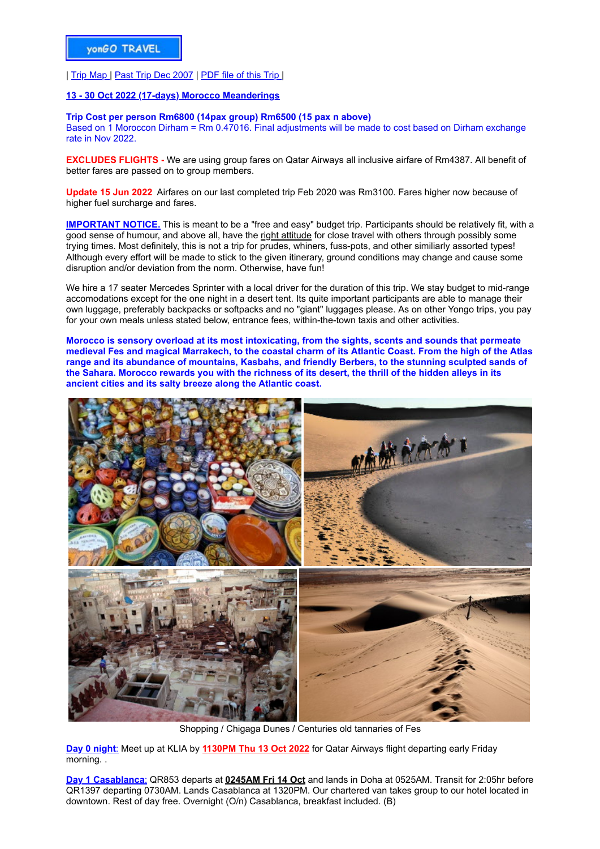| [Trip Map](file:///D:/WebYongo/Morocco/Morocco%20maps/morocco%20trip.jpg) | [Past Trip Dec 2007](file:///D:/WebYongo/Morocco/Morocco%20Dec07/Dec07.htm) | [PDF file of this Trip |](file:///D:/WebYongo/Morocco/Morocco%20trip/Morocco%20Trip%20Oct22.pdf)

## **[13 - 30 Oct 2022 \(17-days\) Morocco Meanderings](file:///D:/WebYongo/Morocco/Morocco%20trip/Morocco%20Trip%2026Feb18.pdf)**

## **Trip Cost per person Rm6800 (14pax group) Rm6500 (15 pax n above)**

Based on 1 Moroccon Dirham = Rm 0.47016. Final adjustments will be made to cost based on Dirham exchange rate in Nov 2022.

**EXCLUDES FLIGHTS -** We are using group fares on Qatar Airways all inclusive airfare of Rm4387. All benefit of better fares are passed on to group members.

**Update 15 Jun 2022** Airfares on our last completed trip Feb 2020 was Rm3100. Fares higher now because of higher fuel surcharge and fares.

**IMPORTANT NOTICE.** This is meant to be a "free and easy" budget trip. Participants should be relatively fit, with a good sense of humour, and above all, have the right attitude for close travel with others through possibly some trying times. Most definitely, this is not a trip for prudes, whiners, fuss-pots, and other similiarly assorted types! Although every effort will be made to stick to the given itinerary, ground conditions may change and cause some disruption and/or deviation from the norm. Otherwise, have fun!

We hire a 17 seater Mercedes Sprinter with a local driver for the duration of this trip. We stay budget to mid-range accomodations except for the one night in a desert tent. Its quite important participants are able to manage their own luggage, preferably backpacks or softpacks and no "giant" luggages please. As on other Yongo trips, you pay for your own meals unless stated below, entrance fees, within-the-town taxis and other activities.

**Morocco is sensory overload at its most intoxicating, from the sights, scents and sounds that permeate medieval Fes and magical Marrakech, to the coastal charm of its Atlantic Coast. From the high of the Atlas range and its abundance of mountains, Kasbahs, and friendly Berbers, to the stunning sculpted sands of the Sahara. Morocco rewards you with the richness of its desert, the thrill of the hidden alleys in its ancient cities and its salty breeze along the Atlantic coast.**



Shopping / Chigaga Dunes / Centuries old tannaries of Fes

**Day 0 night**: Meet up at KLIA by **1130PM Thu 13 Oct 2022** for Qatar Airways flight departing early Friday morning. .

**Day 1 Casablanca**: QR853 departs at **0245AM Fri 14 Oct** and lands in Doha at 0525AM. Transit for 2:05hr before QR1397 departing 0730AM. Lands Casablanca at 1320PM. Our chartered van takes group to our hotel located in downtown. Rest of day free. Overnight (O/n) Casablanca, breakfast included. (B)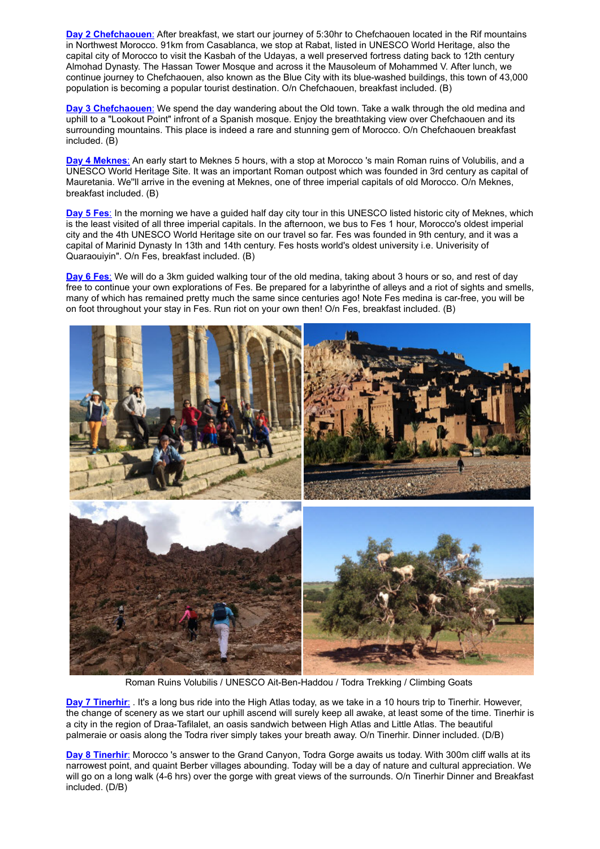**Day 2 Chefchaouen**: After breakfast, we start our journey of 5:30hr to Chefchaouen located in the Rif mountains in Northwest Morocco. 91km from Casablanca, we stop at Rabat, listed in UNESCO World Heritage, also the capital city of Morocco to visit the Kasbah of the Udayas, a well preserved fortress dating back to 12th century Almohad Dynasty. The Hassan Tower Mosque and across it the Mausoleum of Mohammed V. After lunch, we continue journey to Chefchaouen, also known as the Blue City with its blue-washed buildings, this town of 43,000 population is becoming a popular tourist destination. O/n Chefchaouen, breakfast included. (B)

**Day 3 Chefchaouen**: We spend the day wandering about the Old town. Take a walk through the old medina and uphill to a "Lookout Point" infront of a Spanish mosque. Enjoy the breathtaking view over Chefchaouen and its surrounding mountains. This place is indeed a rare and stunning gem of Morocco. O/n Chefchaouen breakfast included. (B)

**Day 4 Meknes**: An early start to Meknes 5 hours, with a stop at Morocco 's main Roman ruins of Volubilis, and a UNESCO World Heritage Site. It was an important Roman outpost which was founded in 3rd century as capital of Mauretania. We''ll arrive in the evening at Meknes, one of three imperial capitals of old Morocco. O/n Meknes, breakfast included. (B)

**Day 5 Fes**: In the morning we have a guided half day city tour in this UNESCO listed historic city of Meknes, which is the least visited of all three imperial capitals. In the afternoon, we bus to Fes 1 hour, Morocco's oldest imperial city and the 4th UNESCO World Heritage site on our travel so far. Fes was founded in 9th century, and it was a capital of Marinid Dynasty In 13th and 14th century. Fes hosts world's oldest university i.e. Univerisity of Quaraouiyin". O/n Fes, breakfast included. (B)

**Day 6 Fes**: We will do a 3km guided walking tour of the old medina, taking about 3 hours or so, and rest of day free to continue your own explorations of Fes. Be prepared for a labyrinthe of alleys and a riot of sights and smells, many of which has remained pretty much the same since centuries ago! Note Fes medina is car-free, you will be on foot throughout your stay in Fes. Run riot on your own then! O/n Fes, breakfast included. (B)



Roman Ruins Volubilis / UNESCO Ait-Ben-Haddou / Todra Trekking / Climbing Goats

**Day 7 Tinerhir:** . It's a long bus ride into the High Atlas today, as we take in a 10 hours trip to Tinerhir. However, the change of scenery as we start our uphill ascend will surely keep all awake, at least some of the time. Tinerhir is a city in the region of Draa-Tafilalet, an oasis sandwich between High Atlas and Little Atlas. The beautiful palmeraie or oasis along the Todra river simply takes your breath away. O/n Tinerhir. Dinner included. (D/B)

**Day 8 Tinerhir**: Morocco 's answer to the Grand Canyon, Todra Gorge awaits us today. With 300m cliff walls at its narrowest point, and quaint Berber villages abounding. Today will be a day of nature and cultural appreciation. We will go on a long walk (4-6 hrs) over the gorge with great views of the surrounds. O/n Tinerhir Dinner and Breakfast included. (D/B)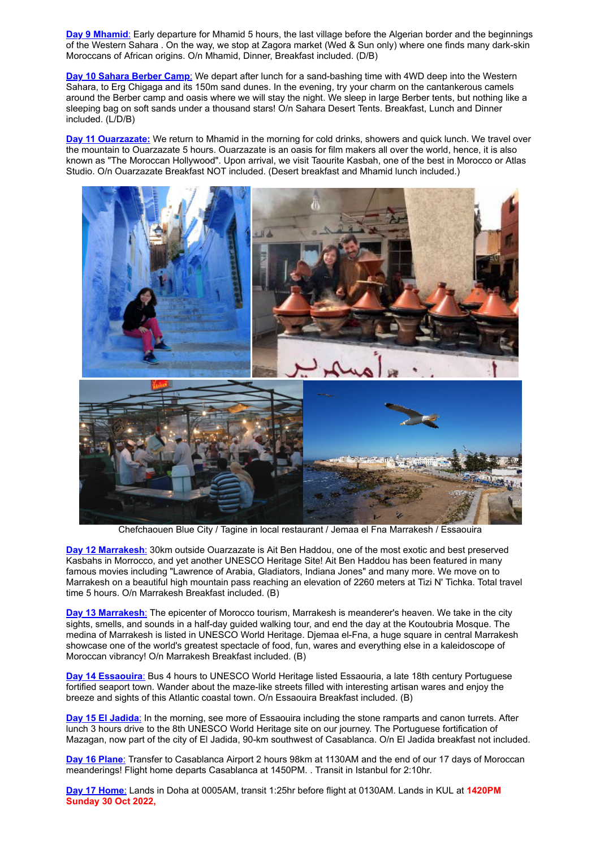**Day 9 Mhamid**: Early departure for Mhamid 5 hours, the last village before the Algerian border and the beginnings of the Western Sahara . On the way, we stop at Zagora market (Wed & Sun only) where one finds many dark-skin Moroccans of African origins. O/n Mhamid, Dinner, Breakfast included. (D/B)

**Day 10 Sahara Berber Camp**: We depart after lunch for a sand-bashing time with 4WD deep into the Western Sahara, to Erg Chigaga and its 150m sand dunes. In the evening, try your charm on the cantankerous camels around the Berber camp and oasis where we will stay the night. We sleep in large Berber tents, but nothing like a sleeping bag on soft sands under a thousand stars! O/n Sahara Desert Tents. Breakfast, Lunch and Dinner included. (L/D/B)

**Day 11 Ouarzazate:** We return to Mhamid in the morning for cold drinks, showers and quick lunch. We travel over the mountain to Ouarzazate 5 hours. Ouarzazate is an oasis for film makers all over the world, hence, it is also known as "The Moroccan Hollywood". Upon arrival, we visit Taourite Kasbah, one of the best in Morocco or Atlas Studio. O/n Ouarzazate Breakfast NOT included. (Desert breakfast and Mhamid lunch included.)



Chefchaouen Blue City / Tagine in local restaurant / Jemaa el Fna Marrakesh / Essaouira

**Day 12 Marrakesh**: 30km outside Ouarzazate is Ait Ben Haddou, one of the most exotic and best preserved Kasbahs in Morrocco, and yet another UNESCO Heritage Site! Ait Ben Haddou has been featured in many famous movies including "Lawrence of Arabia, Gladiators, Indiana Jones" and many more. We move on to Marrakesh on a beautiful high mountain pass reaching an elevation of 2260 meters at Tizi N' Tichka. Total travel time 5 hours. O/n Marrakesh Breakfast included. (B)

**Day 13 Marrakesh**: The epicenter of Morocco tourism, Marrakesh is meanderer's heaven. We take in the city sights, smells, and sounds in a half-day guided walking tour, and end the day at the Koutoubria Mosque. The medina of Marrakesh is listed in UNESCO World Heritage. Djemaa el-Fna, a huge square in central Marrakesh showcase one of the world's greatest spectacle of food, fun, wares and everything else in a kaleidoscope of Moroccan vibrancy! O/n Marrakesh Breakfast included. (B)

**Day 14 Essaouira**: Bus 4 hours to UNESCO World Heritage listed Essaouria, a late 18th century Portuguese fortified seaport town. Wander about the maze-like streets filled with interesting artisan wares and enjoy the breeze and sights of this Atlantic coastal town. O/n Essaouira Breakfast included. (B)

**Day 15 El Jadida**: In the morning, see more of Essaouira including the stone ramparts and canon turrets. After lunch 3 hours drive to the 8th UNESCO World Heritage site on our journey. The Portuguese fortification of Mazagan, now part of the city of El Jadida, 90-km southwest of Casablanca. O/n El Jadida breakfast not included.

**Day 16 Plane**: Transfer to Casablanca Airport 2 hours 98km at 1130AM and the end of our 17 days of Moroccan meanderings! Flight home departs Casablanca at 1450PM. . Transit in Istanbul for 2:10hr.

**Day 17 Home**: Lands in Doha at 0005AM, transit 1:25hr before flight at 0130AM. Lands in KUL at **1420PM Sunday 30 Oct 2022,**